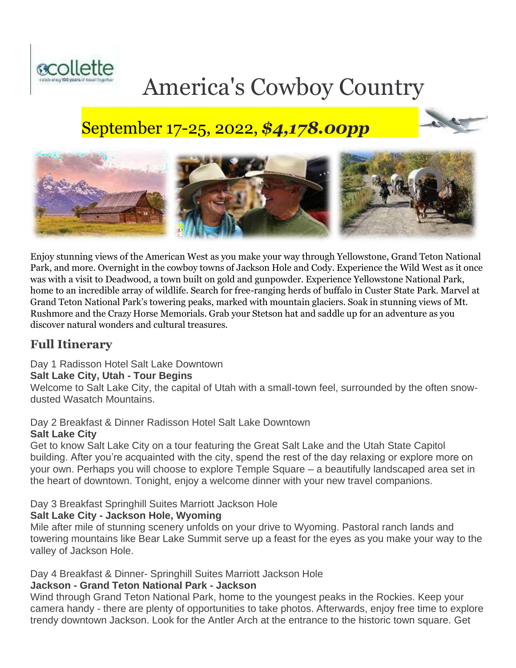

# America's Cowboy Country

# September 17-25, 2022, *\$4,178.00pp*



Enjoy stunning views of the American West as you make your way through Yellowstone, Grand Teton National Park, and more. Overnight in the cowboy towns of Jackson Hole and Cody. Experience the Wild West as it once was with a visit to Deadwood, a town built on gold and gunpowder. Experience Yellowstone National Park, home to an incredible array of wildlife. Search for free-ranging herds of buffalo in Custer State Park. Marvel at Grand Teton National Park's towering peaks, marked with mountain glaciers. Soak in stunning views of Mt. Rushmore and the Crazy Horse Memorials. Grab your Stetson hat and saddle up for an adventure as you discover natural wonders and cultural treasures.

# **Full Itinerary**

# Day 1 Radisson Hotel Salt Lake Downtown

#### **Salt Lake City, Utah - Tour Begins**

Welcome to Salt Lake City, the capital of Utah with a small-town feel, surrounded by the often snowdusted Wasatch Mountains.

# Day 2 Breakfast & Dinner Radisson Hotel Salt Lake Downtown

# **Salt Lake City**

Get to know Salt Lake City on a tour featuring the Great Salt Lake and the Utah State Capitol building. After you're acquainted with the city, spend the rest of the day relaxing or explore more on your own. Perhaps you will choose to explore Temple Square – a beautifully landscaped area set in the heart of downtown. Tonight, enjoy a welcome dinner with your new travel companions.

# Day 3 Breakfast Springhill Suites Marriott Jackson Hole

# **Salt Lake City - Jackson Hole, Wyoming**

Mile after mile of stunning scenery unfolds on your drive to Wyoming. Pastoral ranch lands and towering mountains like Bear Lake Summit serve up a feast for the eyes as you make your way to the valley of Jackson Hole.

# Day 4 Breakfast & Dinner- Springhill Suites Marriott Jackson Hole

#### **Jackson - Grand Teton National Park - Jackson**

Wind through Grand Teton National Park, home to the youngest peaks in the Rockies. Keep your camera handy - there are plenty of opportunities to take photos. Afterwards, enjoy free time to explore trendy downtown Jackson. Look for the Antler Arch at the entrance to the historic town square. Get